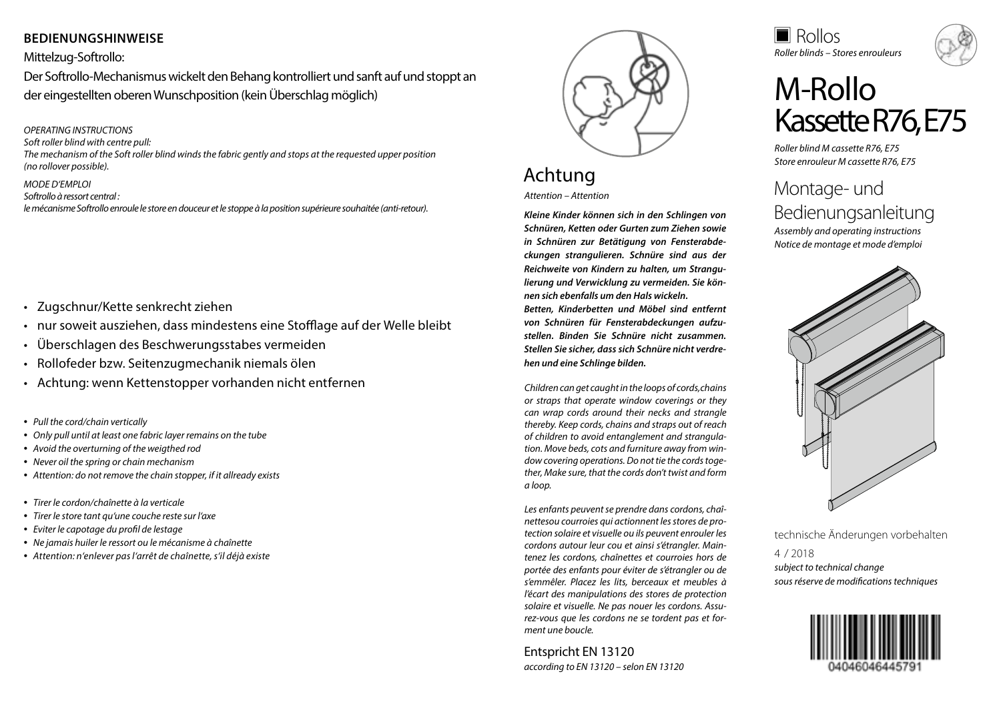## **BEDIENUNGSHINWEISE**

### Mittelzug-Softrollo:

Der Softrollo-Mechanismus wickelt den Behang kontrolliert und sanft auf und stoppt an der eingestellten oberen Wunschposition (kein Überschlag möglich)

#### *OPERATING INSTRUCTIONS*

*Soft roller blind with centre pull:*

*The mechanism of the Soft roller blind winds the fabric gently and stops at the requested upper position (no rollover possible).*

### *MODE D'EMPLOI*

*Softrollo à ressort central : le mécanisme Softrollo enroule le store en douceur et le stoppe à la position supérieure souhaitée (anti-retour).*

- Zugschnur/Kette senkrecht ziehen
- nur soweit ausziehen, dass mindestens eine Stofflage auf der Welle bleibt
- Überschlagen des Beschwerungsstabes vermeiden
- Rollofeder bzw. Seitenzugmechanik niemals ölen
- Achtung: wenn Kettenstopper vorhanden nicht entfernen
- *Pull the cord/chain vertically*
- *Only pull until at least one fabric layer remains on the tube*
- *Avoid the overturning of the weigthed rod*
- *Never oil the spring or chain mechanism*
- *Attention: do not remove the chain stopper, if it allready exists*
- *Tirer le cordon/chaînette à la verticale*
- *Tirer le store tant qu'une couche reste sur l'axe*
- *Eviter le capotage du profil de lestage*
- *Ne jamais huiler le ressort ou le mécanisme à chaînette*
- *Attention: n'enlever pas l'arrêt de chaînette, s'il déjà existe*



# Achtung

*Attention – Attention*

*Kleine Kinder können sich in den Schlingen von Schnüren, Ketten oder Gurten zum Ziehen sowie in Schnüren zur Betätigung von Fensterabdeckungen strangulieren. Schnüre sind aus der Reichweite von Kindern zu halten, um Strangulierung und Verwicklung zu vermeiden. Sie können sich ebenfalls um den Hals wickeln. Betten, Kinderbetten und Möbel sind entfernt von Schnüren für Fensterabdeckungen aufzustellen. Binden Sie Schnüre nicht zusammen. Stellen Sie sicher, dass sich Schnüre nicht verdrehen und eine Schlinge bilden.*

*Children can get caught in the loops of cords,chains or straps that operate window coverings or they can wrap cords around their necks and strangle thereby. Keep cords, chains and straps out of reach of children to avoid entanglement and strangulation. Move beds, cots and furniture away from window covering operations. Do not tie the cords together, Make sure, that the cords don't twist and form a loop.*

*Les enfants peuvent se prendre dans cordons, chaînettesou courroies qui actionnent les stores de protection solaire et visuelle ou ils peuvent enrouler les cordons autour leur cou et ainsi s'étrangler. Maintenez les cordons, chaînettes et courroies hors de portée des enfants pour éviter de s'étrangler ou de s'emmêler. Placez les lits, berceaux et meubles à l'écart des manipulations des stores de protection solaire et visuelle. Ne pas nouer les cordons. Assurez-vous que les cordons ne se tordent pas et forment une boucle.*

Entspricht EN 13120 *according to EN 13120 – selon EN 13120* *Roller blinds – Stores enrouleurs* Rollos



# M-Rollo Kassette R76, E75

*Roller blind M cassette R76, E75 Store enrouleur M cassette R76, E75*

# Montage- und Bedienungsanleitung

*Assembly and operating instructions Notice de montage et mode d'emploi*



technische Änderungen vorbehalten

*subject to technical change sous réserve de modifications techniques* 4 / 2018